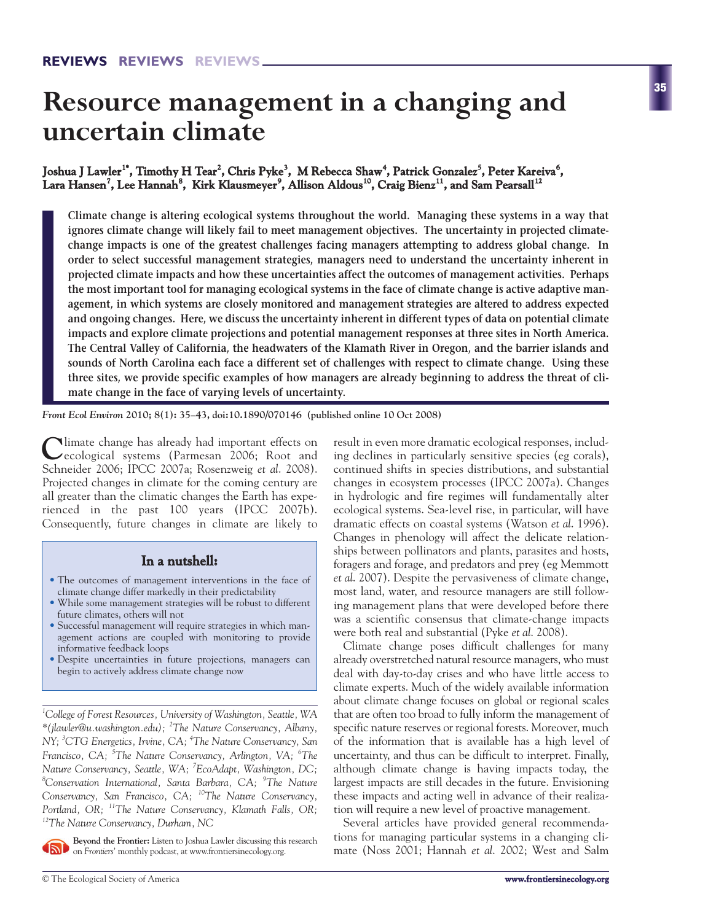# **Resource management in a changing and uncertain climate**

## **Joshua J Lawler 1\* , Timothy H Tear 2 , Chris Pyke<sup>3</sup> , M Rebecca Shaw<sup>4</sup> , Patrick Gonzalez 5 , Peter Kareiva<sup>6</sup> , Lara Hansen<sup>7</sup> , Lee Hannah<sup>8</sup> , Kirk Klausmeyer 9 , Allison Aldous 10 , Craig Bienz 11 , and Sam Pearsall 12**

**Climate change is altering ecological systems throughout the world. Managing these systems in a way that ignores climate change will likely fail to meet management objectives. The uncertainty in projected climatechange impacts is one of the greatest challenges facing managers attempting to address global change. In order to select successful management strategies, managers need to understand the uncertainty inherent in projected climate impacts and how these uncertainties affect the outcomes of management activities. Perhaps the most important tool for managing ecological systems in the face of climate change is active adaptive management, in which systems are closely monitored and management strategies are altered to address expected and ongoing changes. Here, we discuss the uncertainty inherent in different types of data on potential climate impacts and explore climate projections and potential management responses at three sites in North America. The Central Valley of California, the headwaters of the Klamath River in Oregon, and the barrier islands and sounds of North Carolina each face a different set of challenges with respect to climate change. Using these three sites, we provide specific examples of how managers are already beginning to address the threat of climate change in the face of varying levels of uncertainty.** 

*Front Ecol Environ* **2010; 8(1): 35–43, doi:10.1890/070146 (published online 10 Oct 2008)**

Climate change has already had important effects on<br>
ecological systems (Parmesan 2006; Root and Schneider 2006; IPCC 2007a; Rosenzweig *et al*. 2008). Projected changes in climate for the coming century are all greater than the climatic changes the Earth has experienced in the past 100 years (IPCC 2007b). Consequently, future changes in climate are likely to

## **In a nutshell:**

- The outcomes of management interventions in the face of climate change differ markedly in their predictability
- While some management strategies will be robust to different future climates, others will not
- Successful management will require strategies in which management actions are coupled with monitoring to provide informative feedback loops
- Despite uncertainties in future projections, managers can begin to actively address climate change now

*1 College of Forest Resources, University of Washington, Seattle, WA \*(jlawler@u.washington.edu); <sup>2</sup> The Nature Conservancy, Albany, NY; 3 CTG Energetics, Irvine, CA; 4 The Nature Conservancy, San Francisco, CA; <sup>5</sup> The Nature Conservancy, Arlington, VA; <sup>6</sup> The Nature Conservancy, Seattle, WA; <sup>7</sup> EcoAdapt, Washington, DC; 8 Conservation International, Santa Barbara, CA; <sup>9</sup> The Nature Conservancy, San Francisco, CA; 10The Nature Conservancy, Portland, OR; 11The Nature Conservancy, Klamath Falls, OR; 12The Nature Conservancy, Durham, NC*



result in even more dramatic ecological responses, including declines in particularly sensitive species (eg corals), continued shifts in species distributions, and substantial changes in ecosystem processes (IPCC 2007a). Changes in hydrologic and fire regimes will fundamentally alter ecological systems. Sea-level rise, in particular, will have dramatic effects on coastal systems (Watson *et al*. 1996). Changes in phenology will affect the delicate relationships between pollinators and plants, parasites and hosts, foragers and forage, and predators and prey (eg Memmott *et al*. 2007). Despite the pervasiveness of climate change, most land, water, and resource managers are still following management plans that were developed before there was a scientific consensus that climate-change impacts were both real and substantial (Pyke *et al*. 2008).

Climate change poses difficult challenges for many already overstretched natural resource managers, who must deal with day-to-day crises and who have little access to climate experts. Much of the widely available information about climate change focuses on global or regional scales that are often too broad to fully inform the management of specific nature reserves or regional forests. Moreover, much of the information that is available has a high level of uncertainty, and thus can be difficult to interpret. Finally, although climate change is having impacts today, the largest impacts are still decades in the future. Envisioning these impacts and acting well in advance of their realization will require a new level of proactive management.

Several articles have provided general recommendations for managing particular systems in a changing climate (Noss 2001; Hannah *et al*. 2002; West and Salm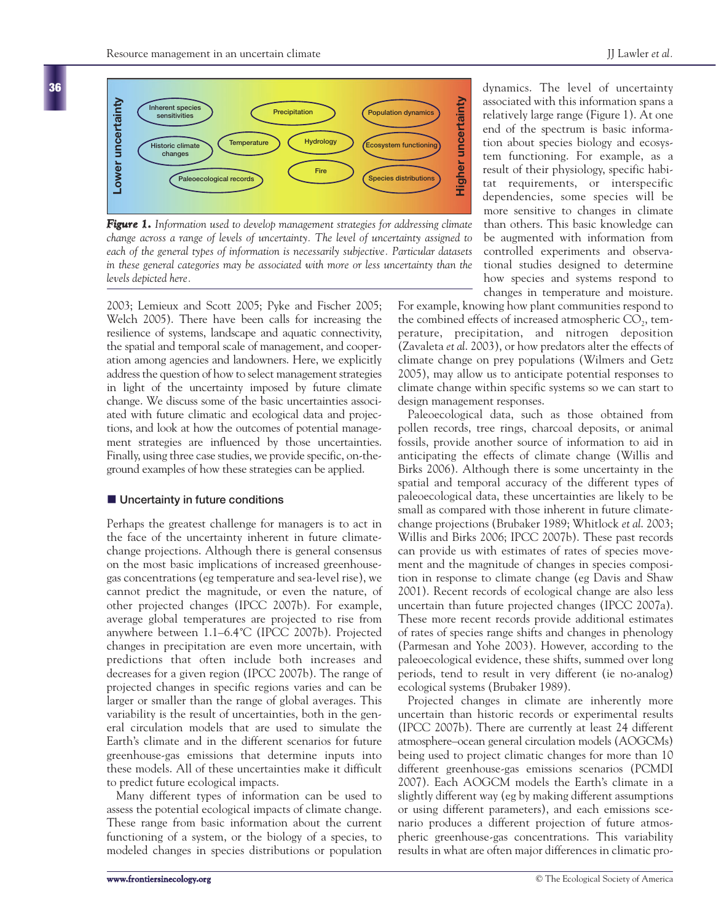

*Figure 1. Information used to develop management strategies for addressing climate change across a range of levels of uncertainty. The level of uncertainty assigned to each of the general types of information is necessarily subjective. Particular datasets in these general categories may be associated with more or less uncertainty than the*

2003; Lemieux and Scott 2005; Pyke and Fischer 2005; Welch 2005). There have been calls for increasing the resilience of systems, landscape and aquatic connectivity, the spatial and temporal scale of management, and cooperation among agencies and landowners. Here, we explicitly address the question of how to select management strategies in light of the uncertainty imposed by future climate change. We discuss some of the basic uncertainties associated with future climatic and ecological data and projections, and look at how the outcomes of potential management strategies are influenced by those uncertainties. Finally, using three case studies, we provide specific, on-theground examples of how these strategies can be applied.

# $\blacksquare$  Uncertainty in future conditions

Perhaps the greatest challenge for managers is to act in the face of the uncertainty inherent in future climatechange projections. Although there is general consensus on the most basic implications of increased greenhousegas concentrations (eg temperature and sea-level rise), we cannot predict the magnitude, or even the nature, of other projected changes (IPCC 2007b). For example, average global temperatures are projected to rise from anywhere between 1.1–6.4˚C (IPCC 2007b). Projected changes in precipitation are even more uncertain, with predictions that often include both increases and decreases for a given region (IPCC 2007b). The range of projected changes in specific regions varies and can be larger or smaller than the range of global averages. This variability is the result of uncertainties, both in the general circulation models that are used to simulate the Earth's climate and in the different scenarios for future greenhouse-gas emissions that determine inputs into these models. All of these uncertainties make it difficult to predict future ecological impacts.

Many different types of information can be used to assess the potential ecological impacts of climate change. These range from basic information about the current functioning of a system, or the biology of a species, to modeled changes in species distributions or population

dynamics. The level of uncertainty associated with this information spans a relatively large range (Figure 1). At one end of the spectrum is basic information about species biology and ecosystem functioning. For example, as a result of their physiology, specific habitat requirements, or interspecific dependencies, some species will be more sensitive to changes in climate than others. This basic knowledge can be augmented with information from controlled experiments and observational studies designed to determine how species and systems respond to changes in temperature and moisture.

For example, knowing how plant communities respond to the combined effects of increased atmospheric  $CO<sub>2</sub>$ , temperature, precipitation, and nitrogen deposition (Zavaleta *et al*. 2003), or how predators alter the effects of climate change on prey populations (Wilmers and Getz 2005), may allow us to anticipate potential responses to climate change within specific systems so we can start to design management responses.

Paleoecological data, such as those obtained from pollen records, tree rings, charcoal deposits, or animal fossils, provide another source of information to aid in anticipating the effects of climate change (Willis and Birks 2006). Although there is some uncertainty in the spatial and temporal accuracy of the different types of paleoecological data, these uncertainties are likely to be small as compared with those inherent in future climatechange projections (Brubaker 1989; Whitlock *et al*. 2003; Willis and Birks 2006; IPCC 2007b). These past records can provide us with estimates of rates of species movement and the magnitude of changes in species composition in response to climate change (eg Davis and Shaw 2001). Recent records of ecological change are also less uncertain than future projected changes (IPCC 2007a). These more recent records provide additional estimates of rates of species range shifts and changes in phenology (Parmesan and Yohe 2003). However, according to the paleoecological evidence, these shifts, summed over long periods, tend to result in very different (ie no-analog) ecological systems (Brubaker 1989).

Projected changes in climate are inherently more uncertain than historic records or experimental results (IPCC 2007b). There are currently at least 24 different atmosphere–ocean general circulation models (AOGCMs) being used to project climatic changes for more than 10 different greenhouse-gas emissions scenarios (PCMDI 2007). Each AOGCM models the Earth's climate in a slightly different way (eg by making different assumptions or using different parameters), and each emissions scenario produces a different projection of future atmospheric greenhouse-gas concentrations. This variability results in what are often major differences in climatic pro-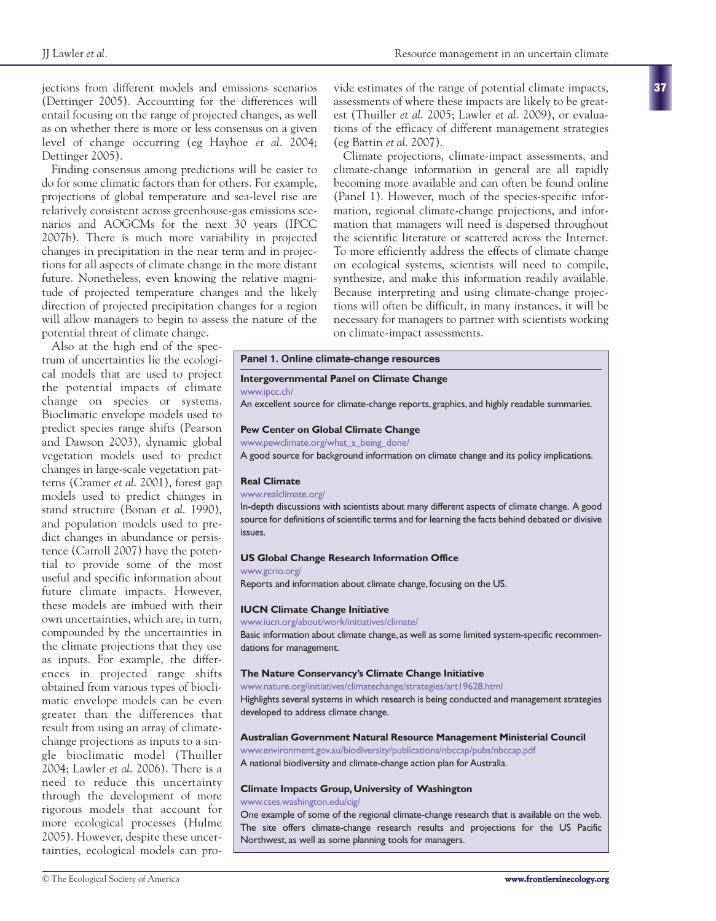jections from different models and emissions scenarios (Dettinger 2005). Accounting for the differences will entail focusing on the range of projected changes, as well as on whether there is more or less consensus on a given level of change occurring (eg Hayhoe *et al*. 2004; Dettinger 2005).

Finding consensus among predictions will be easier to do for some climatic factors than for others. For example, projections of global temperature and sea-level rise are relatively consistent across greenhouse-gas emissions scenarios and AOGCMs for the next 30 years (IPCC 2007b). There is much more variability in projected changes in precipitation in the near term and in projections for all aspects of climate change in the more distant future. Nonetheless, even knowing the relative magnitude of projected temperature changes and the likely direction of projected precipitation changes for a region will allow managers to begin to assess the nature of the potential threat of climate change.

vide estimates of the range of potential climate impacts, assessments of where these impacts are likely to be greatest (Thuiller *et al*. 2005; Lawler *et al*. 2009), or evaluations of the efficacy of different management strategies (eg Battin *et al*. 2007).

Climate projections, climate-impact assessments, and climate-change information in general are all rapidly becoming more available and can often be found online (Panel 1). However, much of the species-specific information, regional climate-change projections, and information that managers will need is dispersed throughout the scientific literature or scattered across the Internet. To more efficiently address the effects of climate change on ecological systems, scientists will need to compile, synthesize, and make this information readily available. Because interpreting and using climate-change projections will often be difficult, in many instances, it will be necessary for managers to partner with scientists working on climate-impact assessments.

### Also at the high end of the spectrum of uncertainties lie the ecological models that are used to project the potential impacts of climate change on species or systems. Bioclimatic envelope models used to predict species range shifts (Pearson and Dawson 2003), dynamic global vegetation models used to predict changes in large-scale vegetation patterns (Cramer *et al*. 2001), forest gap models used to predict changes in stand structure (Bonan *et al*. 1990), and population models used to predict changes in abundance or persistence (Carroll 2007) have the potential to provide some of the most useful and specific information about future climate impacts. However, these models are imbued with their own uncertainties, which are, in turn, compounded by the uncertainties in the climate projections that they use as inputs. For example, the differences in projected range shifts obtained from various types of bioclimatic envelope models can be even greater than the differences that result from using an array of climatechange projections as inputs to a single bioclimatic model (Thuiller 2004; Lawler *et al*. 2006). There is a need to reduce this uncertainty through the development of more rigorous models that account for more ecological processes (Hulme 2005). However, despite these uncer-

**Panel 1. Online climate-change resources** 

### **Intergovernmental Panel on Climate Change**

www.ipcc.ch/

An excellent source for climate-change reports, graphics, and highly readable summaries.

#### **Pew Center on Global Climate Change**

www.pewclimate.org/what\_s\_being\_done/

A good source for background information on climate change and its policy implications.

#### **Real Climate**

#### www.realclimate.org/

In-depth discussions with scientists about many different aspects of climate change. A good source for definitions of scientific terms and for learning the facts behind debated or divisive issues.

#### **US Global Change Research Information Office**

www.gcrio.org/

Reports and information about climate change, focusing on the US.

#### **IUCN Climate Change Initiative**

www.iucn.org/about/work/initiatives/climate/

Basic information about climate change, as well as some limited system-specific recommendations for management.

#### **The Nature Conservancy's Climate Change Initiative**

www.nature.org/initiatives/climatechange/strategies/art19628.html

Highlights several systems in which research is being conducted and management strategies developed to address climate change.

#### **Australian Government Natural Resource Management Ministerial Council**

www.environment.gov.au/biodiversity/publications/nbccap/pubs/nbccap.pdf

A national biodiversity and climate-change action plan for Australia.

#### **Climate Impacts Group, University of Washington**

www.cses.washington.edu/cig/

One example of some of the regional climate-change research that is available on the web. The site offers climate-change research results and projections for the US Pacific Northwest, as well as some planning tools for managers.

tainties, ecological models can pro-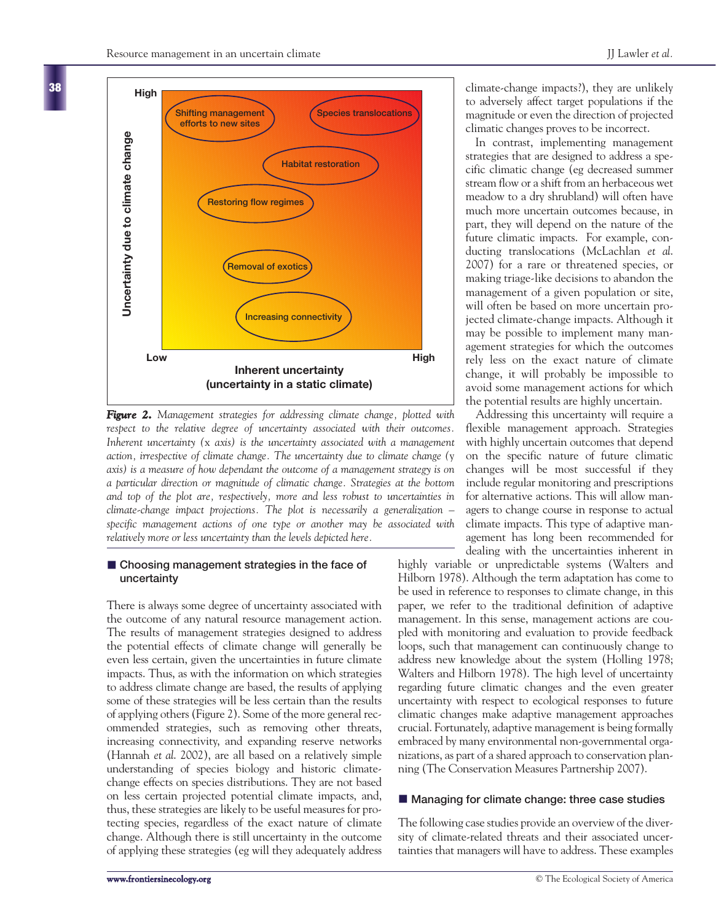



*Figure 2. Management strategies for addressing climate change, plotted with respect to the relative degree of uncertainty associated with their outcomes. Inherent uncertainty (*x *axis) is the uncertainty associated with a management action, irrespective of climate change. The uncertainty due to climate change (*y *axis) is a measure of how dependant the outcome of a management strategy is on a particular direction or magnitude of climatic change. Strategies at the bottom and top of the plot are, respectively, more and less robust to uncertainties in climate-change impact projections. The plot is necessarily a generalization – specific management actions of one type or another may be associated with*

## $\blacksquare$  Choosing management strategies in the face of **uncertainty**

There is always some degree of uncertainty associated with the outcome of any natural resource management action. The results of management strategies designed to address the potential effects of climate change will generally be even less certain, given the uncertainties in future climate impacts. Thus, as with the information on which strategies to address climate change are based, the results of applying some of these strategies will be less certain than the results of applying others (Figure 2). Some of the more general recommended strategies, such as removing other threats, increasing connectivity, and expanding reserve networks (Hannah *et al*. 2002), are all based on a relatively simple understanding of species biology and historic climatechange effects on species distributions. They are not based on less certain projected potential climate impacts, and, thus, these strategies are likely to be useful measures for protecting species, regardless of the exact nature of climate change. Although there is still uncertainty in the outcome of applying these strategies (eg will they adequately address

climate-change impacts?), they are unlikely to adversely affect target populations if the magnitude or even the direction of projected climatic changes proves to be incorrect.

In contrast, implementing management strategies that are designed to address a specific climatic change (eg decreased summer stream flow or a shift from an herbaceous wet meadow to a dry shrubland) will often have much more uncertain outcomes because, in part, they will depend on the nature of the future climatic impacts. For example, conducting translocations (McLachlan *et al*. 2007) for a rare or threatened species, or making triage-like decisions to abandon the management of a given population or site, will often be based on more uncertain projected climate-change impacts. Although it may be possible to implement many management strategies for which the outcomes rely less on the exact nature of climate change, it will probably be impossible to avoid some management actions for which the potential results are highly uncertain.

Addressing this uncertainty will require a flexible management approach. Strategies with highly uncertain outcomes that depend on the specific nature of future climatic changes will be most successful if they include regular monitoring and prescriptions for alternative actions. This will allow managers to change course in response to actual climate impacts. This type of adaptive management has long been recommended for dealing with the uncertainties inherent in

highly variable or unpredictable systems (Walters and Hilborn 1978). Although the term adaptation has come to be used in reference to responses to climate change, in this paper, we refer to the traditional definition of adaptive management. In this sense, management actions are coupled with monitoring and evaluation to provide feedback loops, such that management can continuously change to address new knowledge about the system (Holling 1978; Walters and Hilborn 1978). The high level of uncertainty regarding future climatic changes and the even greater uncertainty with respect to ecological responses to future climatic changes make adaptive management approaches crucial. Fortunately, adaptive management is being formally embraced by many environmental non-governmental organizations, as part of a shared approach to conservation planning (The Conservation Measures Partnership 2007).

# ■ Managing for climate change: three case studies

The following case studies provide an overview of the diversity of climate-related threats and their associated uncertainties that managers will have to address. These examples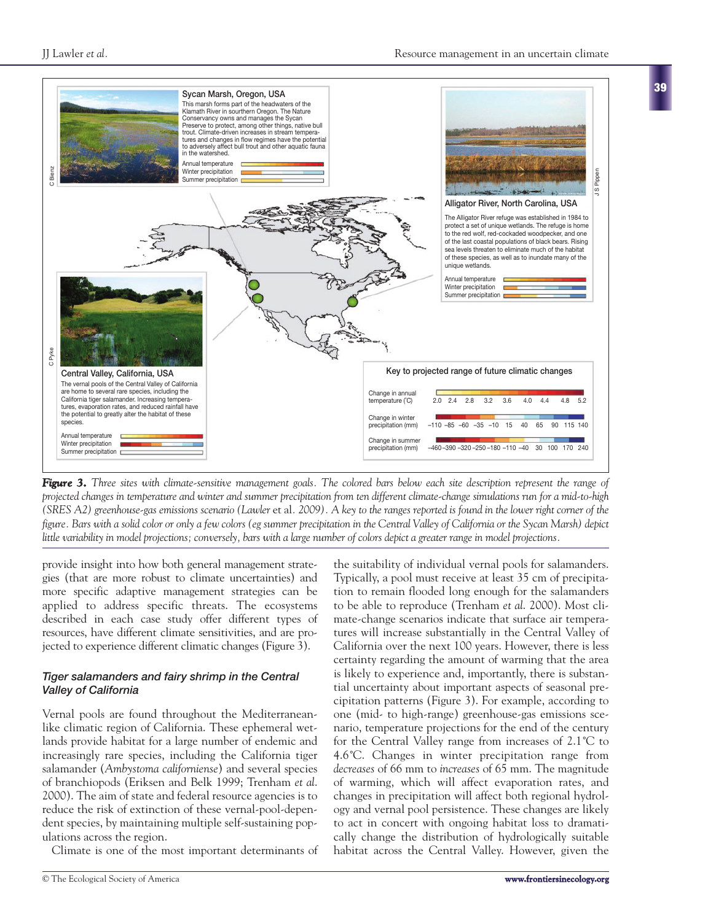

*Figure 3. Three sites with climate-sensitive management goals. The colored bars below each site description represent the range of projected changes in temperature and winter and summer precipitation from ten different climate-change simulations run for a mid-to-high (SRES A2) greenhouse-gas emissions scenario (Lawler et al. 2009). A key to the ranges reported is found in the lower right corner of the figure. Bars with a solid color or only a few colors (eg summer precipitation in the Central Valley of California or the Sycan Marsh) depict little variability in model projections; conversely, bars with a large number of colors depict a greater range in model projections.*

provide insight into how both general management strategies (that are more robust to climate uncertainties) and more specific adaptive management strategies can be applied to address specific threats. The ecosystems described in each case study offer different types of resources, have different climate sensitivities, and are projected to experience different climatic changes (Figure 3).

## *Tiger salamanders and fairy shrimp in the Central Valley of California*

Vernal pools are found throughout the Mediterraneanlike climatic region of California. These ephemeral wetlands provide habitat for a large number of endemic and increasingly rare species, including the California tiger salamander (*Ambystoma californiense*) and several species of branchiopods (Eriksen and Belk 1999; Trenham *et al*. 2000). The aim of state and federal resource agencies is to reduce the risk of extinction of these vernal-pool-dependent species, by maintaining multiple self-sustaining populations across the region.

Climate is one of the most important determinants of

the suitability of individual vernal pools for salamanders. Typically, a pool must receive at least 35 cm of precipitation to remain flooded long enough for the salamanders to be able to reproduce (Trenham *et al*. 2000). Most climate-change scenarios indicate that surface air temperatures will increase substantially in the Central Valley of California over the next 100 years. However, there is less certainty regarding the amount of warming that the area is likely to experience and, importantly, there is substantial uncertainty about important aspects of seasonal precipitation patterns (Figure 3). For example, according to one (mid- to high-range) greenhouse-gas emissions scenario, temperature projections for the end of the century for the Central Valley range from increases of 2.1˚C to 4.6˚C. Changes in winter precipitation range from *decreases* of 66 mm to *increases* of 65 mm. The magnitude of warming, which will affect evaporation rates, and changes in precipitation will affect both regional hydrology and vernal pool persistence. These changes are likely to act in concert with ongoing habitat loss to dramatically change the distribution of hydrologically suitable habitat across the Central Valley. However, given the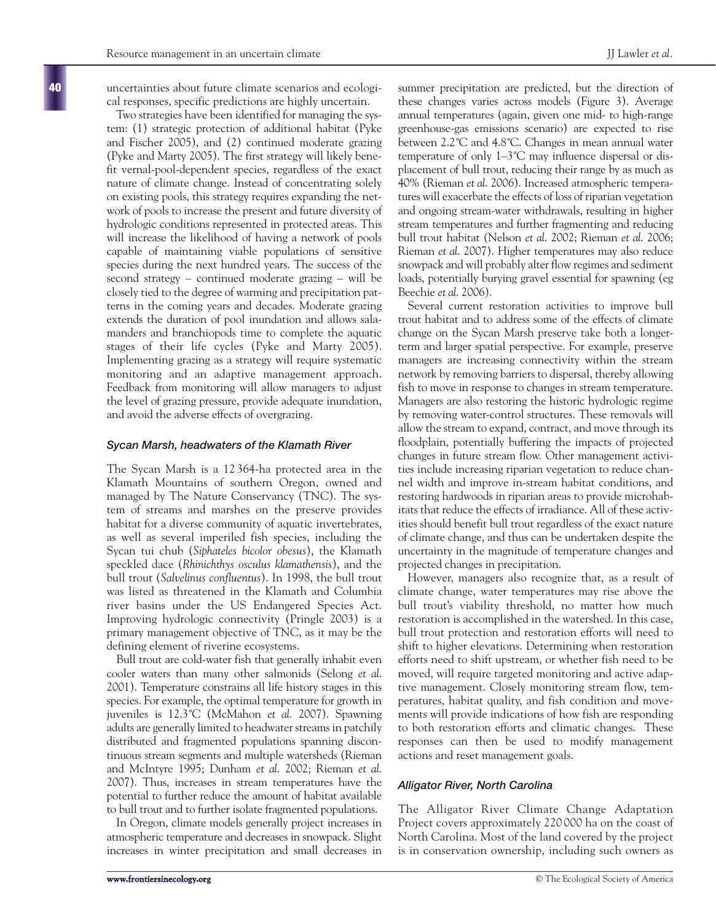uncertainties about future climate scenarios and ecological responses, specific predictions are highly uncertain.

Two strategies have been identified for managing the system: (1) strategic protection of additional habitat (Pyke and Fischer 2005), and (2) continued moderate grazing (Pyke and Marty 2005). The first strategy will likely benefit vernal-pool-dependent species, regardless of the exact nature of climate change. Instead of concentrating solely on existing pools, this strategy requires expanding the network of pools to increase the present and future diversity of hydrologic conditions represented in protected areas. This will increase the likelihood of having a network of pools capable of maintaining viable populations of sensitive species during the next hundred years. The success of the second strategy – continued moderate grazing – will be closely tied to the degree of warming and precipitation patterns in the coming years and decades. Moderate grazing extends the duration of pool inundation and allows salamanders and branchiopods time to complete the aquatic stages of their life cycles (Pyke and Marty 2005). Implementing grazing as a strategy will require systematic monitoring and an adaptive management approach. Feedback from monitoring will allow managers to adjust the level of grazing pressure, provide adequate inundation, and avoid the adverse effects of overgrazing.

#### *Sycan Marsh, headwaters of the Klamath River*

The Sycan Marsh is a 12 364-ha protected area in the Klamath Mountains of southern Oregon, owned and managed by The Nature Conservancy (TNC). The system of streams and marshes on the preserve provides habitat for a diverse community of aquatic invertebrates, as well as several imperiled fish species, including the Sycan tui chub (*Siphateles bicolor obesus*), the Klamath speckled dace (*Rhinichthys osculus klamathensis*), and the bull trout (*Salvelinus confluentus*). In 1998, the bull trout was listed as threatened in the Klamath and Columbia river basins under the US Endangered Species Act. Improving hydrologic connectivity (Pringle 2003) is a primary management objective of TNC, as it may be the defining element of riverine ecosystems.

Bull trout are cold-water fish that generally inhabit even cooler waters than many other salmonids (Selong *et al*. 2001). Temperature constrains all life history stages in this species. For example, the optimal temperature for growth in juveniles is 12.3˚C (McMahon *et al*. 2007). Spawning adults are generally limited to headwater streams in patchily distributed and fragmented populations spanning discontinuous stream segments and multiple watersheds (Rieman and McIntyre 1995; Dunham *et al*. 2002; Rieman *et al*. 2007). Thus, increases in stream temperatures have the potential to further reduce the amount of habitat available to bull trout and to further isolate fragmented populations.

In Oregon, climate models generally project increases in atmospheric temperature and decreases in snowpack. Slight increases in winter precipitation and small decreases in summer precipitation are predicted, but the direction of these changes varies across models (Figure 3). Average annual temperatures (again, given one mid- to high-range greenhouse-gas emissions scenario) are expected to rise between 2.2˚C and 4.8˚C. Changes in mean annual water temperature of only 1–3˚C may influence dispersal or displacement of bull trout, reducing their range by as much as 40% (Rieman *et al*. 2006). Increased atmospheric temperatures will exacerbate the effects of loss of riparian vegetation and ongoing stream-water withdrawals, resulting in higher stream temperatures and further fragmenting and reducing bull trout habitat (Nelson *et al*. 2002; Rieman *et al*. 2006; Rieman *et al*. 2007). Higher temperatures may also reduce snowpack and will probably alter flow regimes and sediment loads, potentially burying gravel essential for spawning (eg Beechie *et al*. 2006).

Several current restoration activities to improve bull trout habitat and to address some of the effects of climate change on the Sycan Marsh preserve take both a longerterm and larger spatial perspective. For example, preserve managers are increasing connectivity within the stream network by removing barriers to dispersal, thereby allowing fish to move in response to changes in stream temperature. Managers are also restoring the historic hydrologic regime by removing water-control structures. These removals will allow the stream to expand, contract, and move through its floodplain, potentially buffering the impacts of projected changes in future stream flow. Other management activities include increasing riparian vegetation to reduce channel width and improve in-stream habitat conditions, and restoring hardwoods in riparian areas to provide microhabitats that reduce the effects of irradiance. All of these activities should benefit bull trout regardless of the exact nature of climate change, and thus can be undertaken despite the uncertainty in the magnitude of temperature changes and projected changes in precipitation.

However, managers also recognize that, as a result of climate change, water temperatures may rise above the bull trout's viability threshold, no matter how much restoration is accomplished in the watershed. In this case, bull trout protection and restoration efforts will need to shift to higher elevations. Determining when restoration efforts need to shift upstream, or whether fish need to be moved, will require targeted monitoring and active adaptive management. Closely monitoring stream flow, temperatures, habitat quality, and fish condition and movements will provide indications of how fish are responding to both restoration efforts and climatic changes. These responses can then be used to modify management actions and reset management goals.

#### *Alligator River, North Carolina*

The Alligator River Climate Change Adaptation Project covers approximately 220 000 ha on the coast of North Carolina. Most of the land covered by the project is in conservation ownership, including such owners as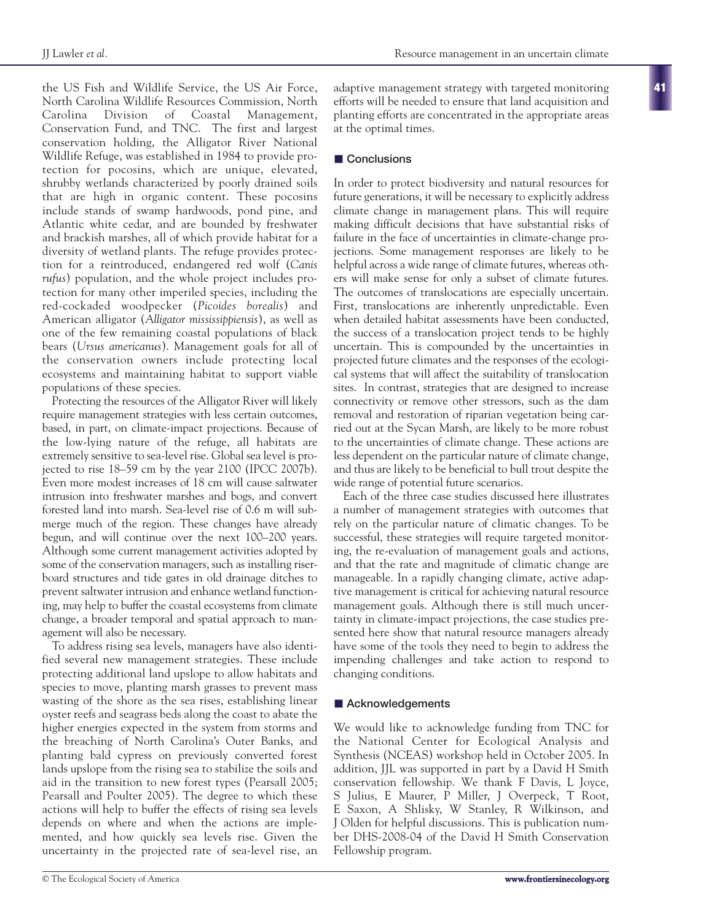the US Fish and Wildlife Service, the US Air Force, North Carolina Wildlife Resources Commission, North Carolina Division of Coastal Management, Conservation Fund, and TNC. The first and largest conservation holding, the Alligator River National Wildlife Refuge, was established in 1984 to provide protection for pocosins, which are unique, elevated, shrubby wetlands characterized by poorly drained soils that are high in organic content. These pocosins include stands of swamp hardwoods, pond pine, and Atlantic white cedar, and are bounded by freshwater and brackish marshes, all of which provide habitat for a diversity of wetland plants. The refuge provides protection for a reintroduced, endangered red wolf (*Canis rufus*) population, and the whole project includes protection for many other imperiled species, including the red-cockaded woodpecker (*Picoides borealis*) and American alligator (*Alligator mississippiensis*), as well as one of the few remaining coastal populations of black bears (*Ursus americanus*). Management goals for all of the conservation owners include protecting local ecosystems and maintaining habitat to support viable populations of these species.

Protecting the resources of the Alligator River will likely require management strategies with less certain outcomes, based, in part, on climate-impact projections. Because of the low-lying nature of the refuge, all habitats are extremely sensitive to sea-level rise. Global sea level is projected to rise 18–59 cm by the year 2100 (IPCC 2007b). Even more modest increases of 18 cm will cause saltwater intrusion into freshwater marshes and bogs, and convert forested land into marsh. Sea-level rise of 0.6 m will submerge much of the region. These changes have already begun, and will continue over the next 100–200 years. Although some current management activities adopted by some of the conservation managers, such as installing riserboard structures and tide gates in old drainage ditches to prevent saltwater intrusion and enhance wetland functioning, may help to buffer the coastal ecosystems from climate change, a broader temporal and spatial approach to management will also be necessary.

To address rising sea levels, managers have also identified several new management strategies. These include protecting additional land upslope to allow habitats and species to move, planting marsh grasses to prevent mass wasting of the shore as the sea rises, establishing linear oyster reefs and seagrass beds along the coast to abate the higher energies expected in the system from storms and the breaching of North Carolina's Outer Banks, and planting bald cypress on previously converted forest lands upslope from the rising sea to stabilize the soils and aid in the transition to new forest types (Pearsall 2005; Pearsall and Poulter 2005). The degree to which these actions will help to buffer the effects of rising sea levels depends on where and when the actions are implemented, and how quickly sea levels rise. Given the uncertainty in the projected rate of sea-level rise, an

adaptive management strategy with targeted monitoring efforts will be needed to ensure that land acquisition and planting efforts are concentrated in the appropriate areas at the optimal times.

# **Conclusions**

In order to protect biodiversity and natural resources for future generations, it will be necessary to explicitly address climate change in management plans. This will require making difficult decisions that have substantial risks of failure in the face of uncertainties in climate-change projections. Some management responses are likely to be helpful across a wide range of climate futures, whereas others will make sense for only a subset of climate futures. The outcomes of translocations are especially uncertain. First, translocations are inherently unpredictable. Even when detailed habitat assessments have been conducted, the success of a translocation project tends to be highly uncertain. This is compounded by the uncertainties in projected future climates and the responses of the ecological systems that will affect the suitability of translocation sites. In contrast, strategies that are designed to increase connectivity or remove other stressors, such as the dam removal and restoration of riparian vegetation being carried out at the Sycan Marsh, are likely to be more robust to the uncertainties of climate change. These actions are less dependent on the particular nature of climate change, and thus are likely to be beneficial to bull trout despite the wide range of potential future scenarios.

Each of the three case studies discussed here illustrates a number of management strategies with outcomes that rely on the particular nature of climatic changes. To be successful, these strategies will require targeted monitoring, the re-evaluation of management goals and actions, and that the rate and magnitude of climatic change are manageable. In a rapidly changing climate, active adaptive management is critical for achieving natural resource management goals. Although there is still much uncertainty in climate-impact projections, the case studies presented here show that natural resource managers already have some of the tools they need to begin to address the impending challenges and take action to respond to changing conditions.

# $\blacksquare$  Acknowledgements

We would like to acknowledge funding from TNC for the National Center for Ecological Analysis and Synthesis (NCEAS) workshop held in October 2005. In addition, JJL was supported in part by a David H Smith conservation fellowship. We thank F Davis, L Joyce, S Julius, E Maurer, P Miller, J Overpeck, T Root, E Saxon, A Shlisky, W Stanley, R Wilkinson, and J Olden for helpful discussions. This is publication number DHS-2008-04 of the David H Smith Conservation Fellowship program.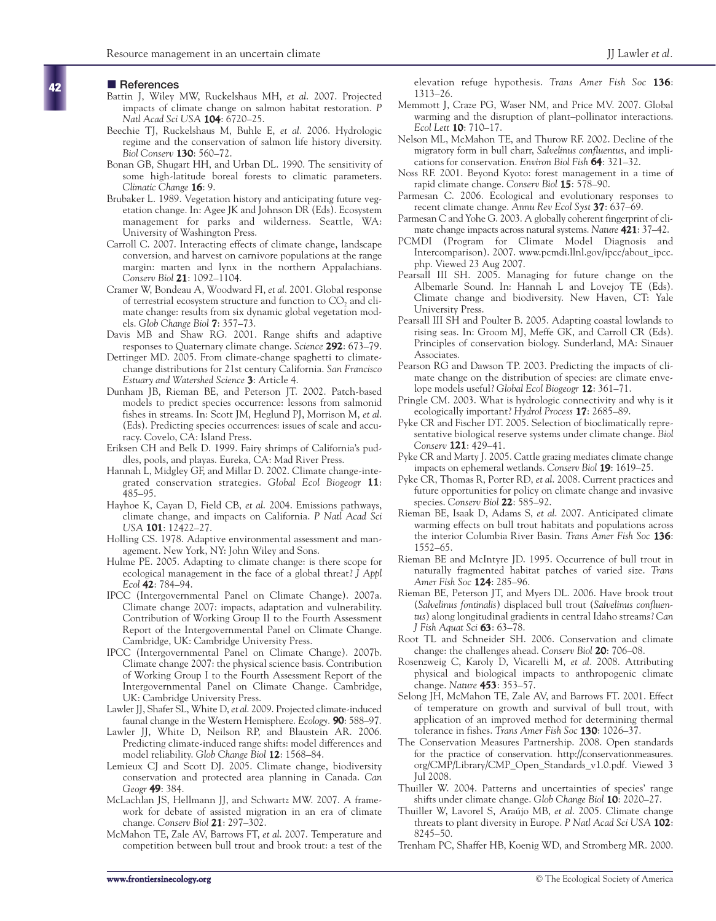# **References**

- Battin J, Wiley MW, Ruckelshaus MH, *et al*. 2007. Projected impacts of climate change on salmon habitat restoration. *P Natl Acad Sci USA* **104**: 6720–25.
- Beechie TJ, Ruckelshaus M, Buhle E, *et al*. 2006. Hydrologic regime and the conservation of salmon life history diversity. *Biol Conserv* **130**: 560–72.
- Bonan GB, Shugart HH, and Urban DL. 1990. The sensitivity of some high-latitude boreal forests to climatic parameters. *Climatic Change* **16**: 9.
- Brubaker L. 1989. Vegetation history and anticipating future vegetation change. In: Agee JK and Johnson DR (Eds). Ecosystem management for parks and wilderness. Seattle, WA: University of Washington Press.
- Carroll C. 2007. Interacting effects of climate change, landscape conversion, and harvest on carnivore populations at the range margin: marten and lynx in the northern Appalachians. *Conserv Biol* **21**: 1092–1104.
- Cramer W, Bondeau A, Woodward FI, *et al*. 2001. Global response of terrestrial ecosystem structure and function to CO<sub>2</sub> and climate change: results from six dynamic global vegetation models. *Glob Change Biol* **7**: 357–73.
- Davis MB and Shaw RG. 2001. Range shifts and adaptive responses to Quaternary climate change. *Science* **292**: 673–79.
- Dettinger MD. 2005. From climate-change spaghetti to climatechange distributions for 21st century California. *San Francisco Estuary and Watershed Science* **3**: Article 4.
- Dunham JB, Rieman BE, and Peterson JT. 2002. Patch-based models to predict species occurrence: lessons from salmonid fishes in streams. In: Scott JM, Heglund PJ, Morrison M, *et al*. (Eds). Predicting species occurrences: issues of scale and accuracy. Covelo, CA: Island Press.
- Eriksen CH and Belk D. 1999. Fairy shrimps of California's puddles, pools, and playas. Eureka, CA: Mad River Press.
- Hannah L, Midgley GF, and Millar D. 2002. Climate change-integrated conservation strategies. *Global Ecol Biogeogr* **11**: 485–95.
- Hayhoe K, Cayan D, Field CB, *et al*. 2004. Emissions pathways, climate change, and impacts on California. *P Natl Acad Sci USA* **101**: 12422–27.
- Holling CS. 1978. Adaptive environmental assessment and management. New York, NY: John Wiley and Sons.
- Hulme PE. 2005. Adapting to climate change: is there scope for ecological management in the face of a global threat? *J Appl Ecol* **42**: 784–94.
- IPCC (Intergovernmental Panel on Climate Change). 2007a. Climate change 2007: impacts, adaptation and vulnerability. Contribution of Working Group II to the Fourth Assessment Report of the Intergovernmental Panel on Climate Change. Cambridge, UK: Cambridge University Press.
- IPCC (Intergovernmental Panel on Climate Change). 2007b. Climate change 2007: the physical science basis. Contribution of Working Group I to the Fourth Assessment Report of the Intergovernmental Panel on Climate Change. Cambridge, UK: Cambridge University Press.
- Lawler JJ, Shafer SL, White D, *et al*. 2009. Projected climate-induced faunal change in the Western Hemisphere. *Ecology.* **90**: 588–97.
- Lawler JJ, White D, Neilson RP, and Blaustein AR. 2006. Predicting climate-induced range shifts: model differences and model reliability. *Glob Change Biol* **12**: 1568–84.
- Lemieux CJ and Scott DJ. 2005. Climate change, biodiversity conservation and protected area planning in Canada. *Can Geogr* **49**: 384.
- McLachlan JS, Hellmann JJ, and Schwartz MW. 2007. A framework for debate of assisted migration in an era of climate change. *Conserv Biol* **21**: 297–302.
- McMahon TE, Zale AV, Barrows FT, *et al*. 2007. Temperature and competition between bull trout and brook trout: a test of the

elevation refuge hypothesis. *Trans Amer Fish Soc* **136**: 1313–26.

- Memmott J, Craze PG, Waser NM, and Price MV. 2007. Global warming and the disruption of plant–pollinator interactions. *Ecol Lett* **10**: 710–17.
- Nelson ML, McMahon TE, and Thurow RF. 2002. Decline of the migratory form in bull charr, *Salvelinus confluentus*, and implications for conservation. *Environ Biol Fish* **64**: 321–32.
- Noss RF. 2001. Beyond Kyoto: forest management in a time of rapid climate change. *Conserv Biol* **15**: 578–90.
- Parmesan C. 2006. Ecological and evolutionary responses to recent climate change. *Annu Rev Ecol Syst* **37**: 637–69.
- Parmesan C and Yohe G. 2003. A globally coherent fingerprint of climate change impacts across natural systems. *Nature* **421**: 37–42.
- PCMDI (Program for Climate Model Diagnosis and Intercomparison). 2007. www.pcmdi.llnl.gov/ipcc/about\_ipcc. php. Viewed 23 Aug 2007.
- Pearsall III SH. 2005. Managing for future change on the Albemarle Sound. In: Hannah L and Lovejoy TE (Eds). Climate change and biodiversity. New Haven, CT: Yale University Press.
- Pearsall III SH and Poulter B. 2005. Adapting coastal lowlands to rising seas. In: Groom MJ, Meffe GK, and Carroll CR (Eds). Principles of conservation biology. Sunderland, MA: Sinauer Associates.
- Pearson RG and Dawson TP. 2003. Predicting the impacts of climate change on the distribution of species: are climate envelope models useful? *Global Ecol Biogeogr* **12**: 361–71.
- Pringle CM. 2003. What is hydrologic connectivity and why is it ecologically important? *Hydrol Process* **17**: 2685–89.
- Pyke CR and Fischer DT. 2005. Selection of bioclimatically representative biological reserve systems under climate change. *Biol Conserv* **121**: 429–41.
- Pyke CR and Marty J. 2005. Cattle grazing mediates climate change impacts on ephemeral wetlands. *Conserv Biol* **19**: 1619–25.
- Pyke CR, Thomas R, Porter RD, *et al*. 2008. Current practices and future opportunities for policy on climate change and invasive species. *Conserv Biol* **22**: 585–92.
- Rieman BE, Isaak D, Adams S, *et al*. 2007. Anticipated climate warming effects on bull trout habitats and populations across the interior Columbia River Basin. *Trans Amer Fish Soc* **136**: 1552–65.
- Rieman BE and McIntyre JD. 1995. Occurrence of bull trout in naturally fragmented habitat patches of varied size. *Trans Amer Fish Soc* **124**: 285–96.
- Rieman BE, Peterson JT, and Myers DL. 2006. Have brook trout (*Salvelinus fontinalis*) displaced bull trout (*Salvelinus confluentus*) along longitudinal gradients in central Idaho streams? *Can J Fish Aquat Sci* **63**: 63–78.
- Root TL and Schneider SH. 2006. Conservation and climate change: the challenges ahead. *Conserv Biol* **20**: 706–08.
- Rosenzweig C, Karoly D, Vicarelli M, *et al*. 2008. Attributing physical and biological impacts to anthropogenic climate change. *Nature* **453**: 353–57.
- Selong JH, McMahon TE, Zale AV, and Barrows FT. 2001. Effect of temperature on growth and survival of bull trout, with application of an improved method for determining thermal tolerance in fishes. *Trans Amer Fish Soc* **130**: 1026–37.
- The Conservation Measures Partnership. 2008. Open standards for the practice of conservation. http://conservationmeasures. org/CMP/Library/CMP\_Open\_Standards\_v1.0.pdf. Viewed 3 Jul 2008.
- Thuiller W. 2004. Patterns and uncertainties of species' range shifts under climate change. *Glob Change Biol* **10**: 2020–27.
- Thuiller W, Lavorel S, Araújo MB, *et al*. 2005. Climate change threats to plant diversity in Europe. *P Natl Acad Sci USA* **102**: 8245–50.
- Trenham PC, Shaffer HB, Koenig WD, and Stromberg MR. 2000.